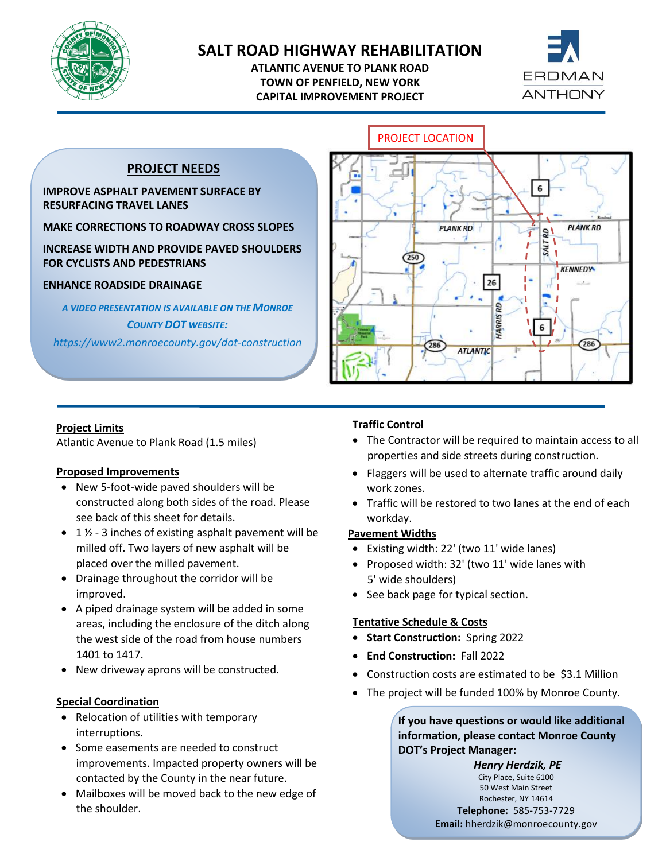

# **SALT ROAD HIGHWAY REHABILITATION**

**ATLANTIC AVENUE TO PLANK ROAD TOWN OF PENFIELD, NEW YORK CAPITAL IMPROVEMENT PROJECT**



## **PROJECT NEEDS**

### **IMPROVE ASPHALT PAVEMENT SURFACE BY RESURFACING TRAVEL LANES**

**MAKE CORRECTIONS TO ROADWAY CROSS SLOPES**

**INCREASE WIDTH AND PROVIDE PAVED SHOULDERS FOR CYCLISTS AND PEDESTRIANS**

### **ENHANCE ROADSIDE DRAINAGE**

*A VIDEO PRESENTATION IS AVAILABLE ON THE MONROE COUNTY DOT WEBSITE:*

*https://www2.monroecounty.gov/dot-construction*



#### **Project Limits**

Atlantic Avenue to Plank Road (1.5 miles)

#### **Proposed Improvements**

- New 5-foot-wide paved shoulders will be constructed along both sides of the road. Please see back of this sheet for details.
- $1\frac{1}{2}$  3 inches of existing asphalt pavement will be milled off. Two layers of new asphalt will be placed over the milled pavement.
- Drainage throughout the corridor will be improved.
- A piped drainage system will be added in some areas, including the enclosure of the ditch along the west side of the road from house numbers 1401 to 1417.
- New driveway aprons will be constructed.

## **Special Coordination**

- Relocation of utilities with temporary interruptions.
- improvements. Impacted property owners will be • Some easements are needed to construct contacted by the County in the near future.
- Mailboxes will be moved back to the new edge of the shoulder.

## **Traffic Control**

- The Contractor will be required to maintain access to all properties and side streets during construction.
- Flaggers will be used to alternate traffic around daily work zones.
- Traffic will be restored to two lanes at the end of each workday.

#### • **Pavement Widths**

- Existing width: 22' (two 11' wide lanes)
- Proposed width: 32' (two 11' wide lanes with 5' wide shoulders)
- See back page for typical section.

## **Tentative Schedule & Costs**

- **Start Construction:** Spring 2022
- **End Construction:** Fall 2022
- Construction costs are estimated to be \$3.1 Million
- The project will be funded 100% by Monroe County.

## **If you have questions or would like additional information, please contact Monroe County DOT's Project Manager:**

*Henry Herdzik, PE*

City Place, Suite 6100 50 West Main Street Rochester, NY 14614 **Telephone:** 585-753-7729

**Email:** hherdzik@monroecounty.gov